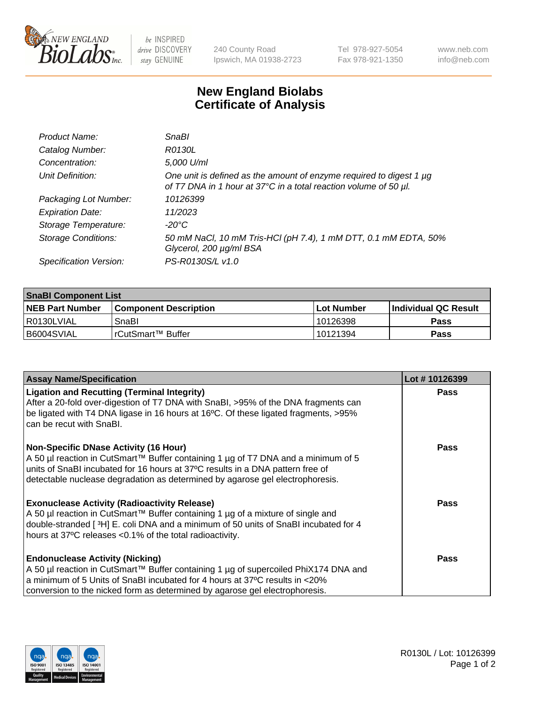

 $be$  INSPIRED drive DISCOVERY stay GENUINE

240 County Road Ipswich, MA 01938-2723 Tel 978-927-5054 Fax 978-921-1350 www.neb.com info@neb.com

## **New England Biolabs Certificate of Analysis**

| Product Name:              | <b>SnaBl</b>                                                                                                                            |
|----------------------------|-----------------------------------------------------------------------------------------------------------------------------------------|
| Catalog Number:            | R0130L                                                                                                                                  |
| Concentration:             | 5,000 U/ml                                                                                                                              |
| Unit Definition:           | One unit is defined as the amount of enzyme required to digest 1 µg<br>of T7 DNA in 1 hour at 37°C in a total reaction volume of 50 µl. |
| Packaging Lot Number:      | 10126399                                                                                                                                |
| <b>Expiration Date:</b>    | 11/2023                                                                                                                                 |
| Storage Temperature:       | $-20^{\circ}$ C                                                                                                                         |
| <b>Storage Conditions:</b> | 50 mM NaCl, 10 mM Tris-HCl (pH 7.4), 1 mM DTT, 0.1 mM EDTA, 50%<br>Glycerol, 200 µg/ml BSA                                              |
| Specification Version:     | PS-R0130S/L v1.0                                                                                                                        |

| <b>SnaBI Component List</b> |                         |              |                             |  |  |
|-----------------------------|-------------------------|--------------|-----------------------------|--|--|
| <b>NEB Part Number</b>      | l Component Description | l Lot Number | <b>Individual QC Result</b> |  |  |
| I R0130LVIAL                | SnaBl                   | 10126398     | Pass                        |  |  |
| B6004SVIAL                  | !rCutSmart™ Buffer_     | 10121394     | Pass                        |  |  |

| <b>Assay Name/Specification</b>                                                                                                                                                                                                                                                                          | Lot #10126399 |
|----------------------------------------------------------------------------------------------------------------------------------------------------------------------------------------------------------------------------------------------------------------------------------------------------------|---------------|
| <b>Ligation and Recutting (Terminal Integrity)</b><br>After a 20-fold over-digestion of T7 DNA with SnaBI, >95% of the DNA fragments can<br>be ligated with T4 DNA ligase in 16 hours at 16°C. Of these ligated fragments, >95%<br>can be recut with SnaBI.                                              | <b>Pass</b>   |
| <b>Non-Specific DNase Activity (16 Hour)</b><br>A 50 µl reaction in CutSmart™ Buffer containing 1 µg of T7 DNA and a minimum of 5<br>units of SnaBI incubated for 16 hours at 37°C results in a DNA pattern free of<br>detectable nuclease degradation as determined by agarose gel electrophoresis.     | Pass          |
| <b>Exonuclease Activity (Radioactivity Release)</b><br>A 50 µl reaction in CutSmart™ Buffer containing 1 µg of a mixture of single and<br>double-stranded [3H] E. coli DNA and a minimum of 50 units of SnaBI incubated for 4<br>hours at 37°C releases <0.1% of the total radioactivity.                | Pass          |
| <b>Endonuclease Activity (Nicking)</b><br>A 50 µl reaction in CutSmart™ Buffer containing 1 µg of supercoiled PhiX174 DNA and<br>a minimum of 5 Units of SnaBI incubated for 4 hours at 37 <sup>o</sup> C results in <20%<br>conversion to the nicked form as determined by agarose gel electrophoresis. | Pass          |